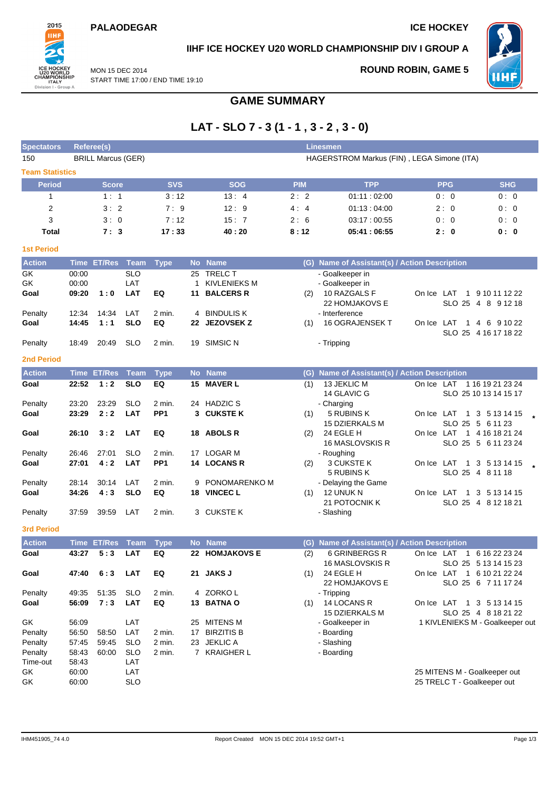### **PALAODEGAR ICE HOCKEY**



# **IIHF ICE HOCKEY U20 WORLD CHAMPIONSHIP DIV I GROUP A**

**GAME SUMMARY**

MON 15 DEC 2014 START TIME 17:00 / END TIME 19:10

### **ROUND ROBIN, GAME 5**



**LAT - SLO 7 - 3 (1 - 1 , 3 - 2 , 3 - 0) Spectators Referee(s) Linesmen**

| 150                    |                | <b>BRILL Marcus (GER)</b> |                          |                  |    |                                 |            | HAGERSTROM Markus (FIN), LEGA Simone (ITA)    |                                                       |  |
|------------------------|----------------|---------------------------|--------------------------|------------------|----|---------------------------------|------------|-----------------------------------------------|-------------------------------------------------------|--|
| <b>Team Statistics</b> |                |                           |                          |                  |    |                                 |            |                                               |                                                       |  |
| <b>Period</b>          |                | <b>Score</b>              |                          | <b>SVS</b>       |    | <b>SOG</b>                      | <b>PIM</b> | <b>TPP</b>                                    | <b>SHG</b><br><b>PPG</b>                              |  |
| 1                      |                | 1:1                       |                          | 3:12             |    | 13:4                            | 2:2        | 01:11:02:00                                   | 0:0<br>0:0                                            |  |
| $\overline{2}$         |                | 3:2                       |                          | 7:9              |    | 12:9                            | 4:4        | 01:13:04:00                                   | 2:0<br>0:0                                            |  |
| 3                      |                | 3:0                       |                          | 7:12             |    | 15:7                            | 2:6        | 03:17:00:55                                   | 0:0<br>0:0                                            |  |
| Total                  |                | 7:3                       |                          | 17:33            |    | 40:20                           | 8:12       | 05:41:06:55                                   | 2:0<br>0:0                                            |  |
| <b>1st Period</b>      |                |                           |                          |                  |    |                                 |            |                                               |                                                       |  |
| <b>Action</b>          |                | Time ET/Res Team          |                          | <b>Type</b>      |    | No Name                         |            | (G) Name of Assistant(s) / Action Description |                                                       |  |
| GK                     | 00:00          |                           | <b>SLO</b>               |                  |    | 25 TRELC T                      |            | - Goalkeeper in                               |                                                       |  |
| GK                     | 00:00          |                           | LAT                      |                  | 1  | <b>KIVLENIEKS M</b>             |            | - Goalkeeper in                               |                                                       |  |
| Goal                   | 09:20          | 1:0                       | <b>LAT</b>               | EQ               | 11 | <b>BALCERS R</b>                | (2)        | 10 RAZGALS F                                  | On Ice LAT<br>1 9 10 11 12 22                         |  |
| Penalty                | 12:34          | 14:34                     | LAT                      | 2 min.           |    | 4 BINDULIS K                    |            | 22 HOMJAKOVS E<br>- Interference              | SLO 25 4 8 9 12 18                                    |  |
| Goal                   | 14:45          | 1:1                       | <b>SLO</b>               | EQ               |    | 22 JEZOVSEK Z                   | (1)        | 16 OGRAJENSEK T                               | On Ice LAT<br>1 4 6 9 10 22                           |  |
|                        |                |                           |                          |                  |    |                                 |            |                                               | SLO 25 4 16 17 18 22                                  |  |
| Penalty                | 18:49          | 20:49                     | <b>SLO</b>               | 2 min.           |    | 19 SIMSIC N                     |            | - Tripping                                    |                                                       |  |
| <b>2nd Period</b>      |                |                           |                          |                  |    |                                 |            |                                               |                                                       |  |
| <b>Action</b>          |                | Time ET/Res               | Team                     | <b>Type</b>      |    | No Name                         |            | (G) Name of Assistant(s) / Action Description |                                                       |  |
| Goal                   | 22:52          | 1:2                       | <b>SLO</b>               | EQ               |    | 15 MAVER L                      | (1)        | 13 JEKLIC M                                   | On Ice LAT 1 16 19 21 23 24                           |  |
|                        |                |                           |                          |                  |    |                                 |            | 14 GLAVIC G                                   | SLO 25 10 13 14 15 17                                 |  |
| Penalty                | 23:20          | 23:29                     | <b>SLO</b>               | 2 min.           |    | 24 HADZIC S                     |            | - Charging                                    |                                                       |  |
| Goal                   | 23:29          | 2:2                       | <b>LAT</b>               | PP <sub>1</sub>  |    | 3 CUKSTEK                       | (1)        | 5 RUBINS K                                    | On Ice LAT 1 3 5 13 14 15                             |  |
|                        | 26:10          | 3:2                       | <b>LAT</b>               | EQ               |    | 18 ABOLS R                      |            | <b>15 DZIERKALS M</b><br>24 EGLE H            | SLO 25 5 6 11 23<br>On Ice LAT<br>1 4 16 18 21 24     |  |
| Goal                   |                |                           |                          |                  |    |                                 | (2)        | 16 MASLOVSKIS R                               | SLO 25 5 6 11 23 24                                   |  |
| Penalty                | 26:46          | 27:01                     | <b>SLO</b>               | 2 min.           |    | 17 LOGAR M                      |            | - Roughing                                    |                                                       |  |
| Goal                   | 27:01          | 4:2                       | <b>LAT</b>               | PP <sub>1</sub>  |    | 14 LOCANS R                     | (2)        | 3 CUKSTE K                                    | On Ice LAT 1 3 5 13 14 15                             |  |
|                        |                |                           |                          |                  |    |                                 |            | 5 RUBINS K                                    | SLO 25 4 8 11 18                                      |  |
| Penalty                | 28:14          | 30:14                     | LAT                      | 2 min.           |    | 9 PONOMARENKO M                 |            | - Delaying the Game                           |                                                       |  |
| Goal                   | 34:26          | 4:3                       | <b>SLO</b>               | EQ               |    | 18 VINCEC L                     | (1)        | 12 UNUK N                                     | On Ice LAT<br>$\blacksquare$ 1<br>3 5 1 3 1 4 1 5     |  |
|                        |                |                           |                          |                  |    |                                 |            | 21 POTOCNIK K                                 | SLO 25 4 8 12 18 21                                   |  |
| Penalty                | 37:59          | 39:59                     | LAT                      | 2 min.           |    | 3 CUKSTE K                      |            | - Slashing                                    |                                                       |  |
| <b>3rd Period</b>      |                |                           |                          |                  |    |                                 |            |                                               |                                                       |  |
| <b>Action</b>          |                | <b>Time ET/Res</b>        | <b>Team</b>              | <b>Type</b>      |    | No Name                         | (G)        | Name of Assistant(s) / Action Description     |                                                       |  |
| Goal                   | 43:27          | 5:3                       | <b>LAT</b>               | EQ               |    | 22 HOMJAKOVS E                  | (2)        | 6 GRINBERGS R<br>16 MASLOVSKIS R              | On Ice LAT<br>1 6 16 22 23 24<br>SLO 25 5 13 14 15 23 |  |
| Goal                   | 47:40          | 6:3 LAT                   |                          | EQ               |    | 21 JAKS J                       | (1)        | 24 EGLE H                                     | On Ice LAT 1 6 10 21 22 24                            |  |
|                        |                |                           |                          |                  |    |                                 |            | 22 HOMJAKOVS E                                | SLO 25 6 7 11 17 24                                   |  |
| Penalty                | 49:35          | 51:35                     | <b>SLO</b>               | 2 min.           |    | 4 ZORKOL                        |            | - Tripping                                    |                                                       |  |
| Goal                   | 56:09          | 7:3                       | LAT                      | EQ               |    | 13 BATNA O                      | (1)        | 14 LOCANS R                                   | On Ice LAT 1 3 5 13 14 15                             |  |
|                        |                |                           |                          |                  |    |                                 |            | 15 DZIERKALS M                                | SLO 25 4 8 18 21 22                                   |  |
| GK                     | 56:09          |                           | LAT                      |                  | 25 | <b>MITENS M</b>                 |            | - Goalkeeper in                               | 1 KIVLENIEKS M - Goalkeeper out                       |  |
| Penalty                | 56:50          | 58:50                     | LAT                      | 2 min.           | 17 | <b>BIRZITIS B</b>               |            | - Boarding                                    |                                                       |  |
| Penalty<br>Penalty     | 57:45<br>58:43 | 59:45<br>60:00            | <b>SLO</b><br><b>SLO</b> | 2 min.<br>2 min. | 23 | <b>JEKLIC A</b><br>7 KRAIGHER L |            | - Slashing<br>- Boarding                      |                                                       |  |
| Time-out               | 58:43          |                           | LAT                      |                  |    |                                 |            |                                               |                                                       |  |
| GK                     | 60:00          |                           | LAT                      |                  |    |                                 |            |                                               | 25 MITENS M - Goalkeeper out                          |  |
| GK                     | 60:00          |                           | <b>SLO</b>               |                  |    |                                 |            |                                               | 25 TRELC T - Goalkeeper out                           |  |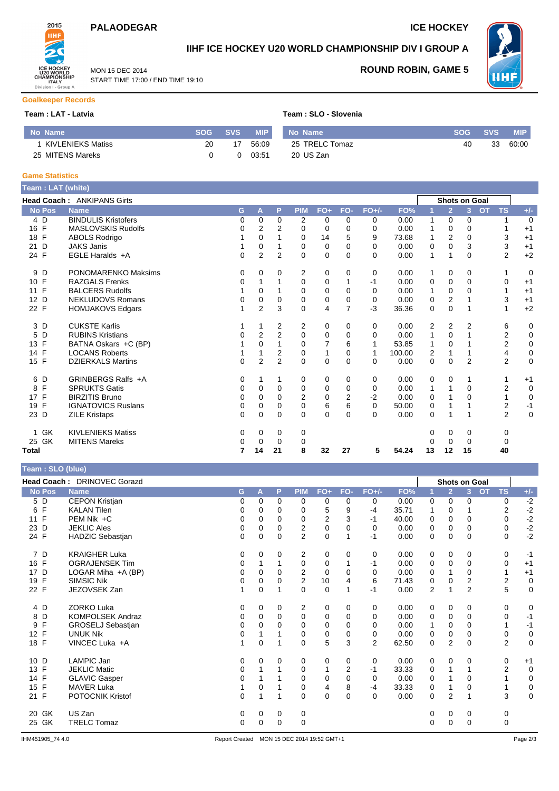# **PALAODEGAR ICE HOCKEY**

**ROUND ROBIN, GAME 5**



**Goalkeeper Records**

## **IIHF ICE HOCKEY U20 WORLD CHAMPIONSHIP DIV I GROUP A**

**WHF** 

MON 15 DEC 2014 START TIME 17:00 / END TIME 19:10

#### **Team : LAT - Latvia Team : SLO - Slovenia**

| No Name           | SOG | <b>SVS</b> | <b>MIP</b> | No Name        | <b>SOG</b> | <b>SVS</b> | <b>MIP</b> |
|-------------------|-----|------------|------------|----------------|------------|------------|------------|
| KIVLENIEKS Matiss | 20  |            | 56:09      | 25 TRELC Tomaz | 40         | 33         | 60:00      |
| 25 MITENS Mareks  |     |            | 03:51      | 20 US Zan      |            |            |            |

#### **Game Statistics**

| Team : LAT (white)        |                                   |              |                |                |                |                |                |          |        |             |                |                      |           |                |             |
|---------------------------|-----------------------------------|--------------|----------------|----------------|----------------|----------------|----------------|----------|--------|-------------|----------------|----------------------|-----------|----------------|-------------|
|                           | <b>Head Coach: ANKIPANS Girts</b> |              |                |                |                |                |                |          |        |             |                | <b>Shots on Goal</b> |           |                |             |
| <b>No Pos</b>             | <b>Name</b>                       | G            | A              | P              | <b>PIM</b>     | $FO+$          | FO-            | $FO+/-$  | FO%    |             | $\overline{2}$ | 3                    | <b>OT</b> | <b>TS</b>      | $+/-$       |
| 4 D                       | <b>BINDULIS Kristofers</b>        | 0            | 0              | $\Omega$       | 2              | 0              | 0              | 0        | 0.00   | 1           | 0              | $\mathbf 0$          |           |                | $\mathbf 0$ |
| $\mathsf{F}$<br>16        | <b>MASLOVSKIS Rudolfs</b>         | 0            | $\overline{2}$ | $\overline{2}$ | 0              | 0              | 0              | 0        | 0.00   |             | 0              | $\Omega$             |           |                | $+1$        |
| $\mathsf{F}$<br>18        | <b>ABOLS Rodrigo</b>              |              | 0              |                | 0              | 14             | 5              | 9        | 73.68  |             | 2              | $\Omega$             |           | 3              | $+1$        |
| D<br>21                   | <b>JAKS Janis</b>                 |              | 0              |                | 0              | 0              | $\Omega$       | 0        | 0.00   | 0           | $\Omega$       | 3                    |           | 3              | $+1$        |
| 24 F                      | EGLE Haralds +A                   | $\mathbf{0}$ | $\overline{2}$ | $\overline{2}$ | $\Omega$       | $\mathbf 0$    | $\Omega$       | $\Omega$ | 0.00   | 1           | 1              | $\Omega$             |           | $\overline{2}$ | $+2$        |
| 9<br>D                    | <b>PONOMARENKO Maksims</b>        | 0            | 0              | 0              | 2              | 0              | 0              | 0        | 0.00   | 1           | 0              | 0                    |           |                | 0           |
| F<br>10 <sup>°</sup>      | <b>RAZGALS Frenks</b>             | 0            |                |                | 0              | 0              |                | -1       | 0.00   | 0           | 0              | $\Omega$             |           | $\mathbf 0$    | $+1$        |
| F<br>11                   | <b>BALCERS Rudolfs</b>            |              | 0              |                | 0              | 0              | $\Omega$       | 0        | 0.00   |             | 0              | 0                    |           |                | $+1$        |
| D<br>12                   | <b>NEKLUDOVS Romans</b>           | 0            | 0              | 0              | 0              | $\mathbf 0$    | $\Omega$       | 0        | 0.00   | 0           | $\overline{2}$ |                      |           | 3              | $+1$        |
| 22 F                      | <b>HOMJAKOVS Edgars</b>           |              | $\overline{2}$ | 3              | $\mathbf 0$    | 4              | $\overline{7}$ | $-3$     | 36.36  | $\mathbf 0$ | $\mathbf 0$    |                      |           |                | $+2$        |
| 3<br>D                    | <b>CUKSTE Karlis</b>              |              | 1              | 2              | 2              | 0              | 0              | 0        | 0.00   | 2           | 2              | 2                    |           | 6              | 0           |
| D<br>5                    | <b>RUBINS Kristians</b>           | 0            | 2              | 2              | 0              | 0              | 0              | 0        | 0.00   |             | 0              |                      |           | 2              | 0           |
| $\mathsf{F}$<br>13        | BATNA Oskars +C (BP)              |              | 0              |                | $\Omega$       | $\overline{7}$ | 6              | 1        | 53.85  |             | $\Omega$       |                      |           | $\overline{2}$ | $\pmb{0}$   |
| F<br>14                   | <b>LOCANS Roberts</b>             |              |                | 2              | 0              | 1              | 0              | 1        | 100.00 | 2           | 1              |                      |           | 4              | 0           |
| 15 F                      | <b>DZIERKALS Martins</b>          | $\Omega$     | $\overline{2}$ | $\overline{2}$ | $\Omega$       | $\mathbf 0$    | $\Omega$       | $\Omega$ | 0.00   | 0           | $\Omega$       | $\overline{2}$       |           | 2              | $\mathbf 0$ |
| D<br>6                    | GRINBERGS Ralfs +A                | 0            | 1              |                | 0              | 0              | 0              | 0        | 0.00   | 0           | 0              |                      |           |                | $+1$        |
| F<br>8                    | <b>SPRUKTS Gatis</b>              | 0            | 0              | $\Omega$       | 0              | 0              | $\Omega$       | 0        | 0.00   | 1           | 1              | $\mathbf 0$          |           | $\overline{2}$ | $\mathbf 0$ |
| F<br>17                   | <b>BIRZITIS Bruno</b>             | $\mathbf 0$  | 0              | $\Omega$       | $\overline{2}$ | 0              | 2              | $-2$     | 0.00   | 0           |                | 0                    |           |                | $\mathbf 0$ |
| F<br>19                   | <b>IGNATOVICS Ruslans</b>         | $\mathbf 0$  | 0              | $\Omega$       | $\mathbf 0$    | 6              | 6              | $\Omega$ | 50.00  | 0           |                |                      |           | $\overline{2}$ | $-1$        |
| D<br>23                   | <b>ZILE Kristaps</b>              | 0            | 0              | $\Omega$       | $\Omega$       | $\Omega$       | $\Omega$       | $\Omega$ | 0.00   | $\Omega$    |                |                      |           | $\overline{2}$ | $\mathbf 0$ |
| <b>GK</b><br>$\mathbf{1}$ | <b>KIVLENIEKS Matiss</b>          | 0            | 0              | 0              | 0              |                |                |          |        | 0           | 0              | 0                    |           | 0              |             |
| 25 GK                     | <b>MITENS Mareks</b>              | 0            | 0              | 0              | 0              |                |                |          |        |             | 0              | 0                    |           | 0              |             |
| <b>Total</b>              |                                   | 7            | 14             | 21             | 8              | 32             | 27             | 5        | 54.24  | 13          | 12             | 15                   |           | 40             |             |

| Team: SLO (blue) |  |  |
|------------------|--|--|
|                  |  |  |

|                    | Head Coach: DRINOVEC Gorazd |   |          |             |                |             |             |                |       |             |                | <b>Shots on Goal</b>        |                |              |
|--------------------|-----------------------------|---|----------|-------------|----------------|-------------|-------------|----------------|-------|-------------|----------------|-----------------------------|----------------|--------------|
| <b>No Pos</b>      | <b>Name</b>                 | G | A        | P           | <b>PIM</b>     | $FO+$       | FO-         | $FO+/-$        | FO%   |             | $\overline{2}$ | 3 <sup>2</sup><br><b>OT</b> | <b>TS</b>      | $+/-$        |
| 5 D                | <b>CEPON Kristjan</b>       | 0 | 0        | $\Omega$    | 0              | 0           | 0           | 0              | 0.00  | 0           | 0              | 0                           | 0              | $-2$         |
| F<br>6             | <b>KALAN Tilen</b>          | 0 | 0        | $\Omega$    | 0              | 5           | 9           | $-4$           | 35.71 |             | 0              |                             | 2              | $-2$         |
| F<br>11            | PEM Nik +C                  | 0 | 0        | $\Omega$    | 0              | 2           | 3           | $-1$           | 40.00 | 0           | 0              | $\Omega$                    | 0              | $-2$         |
| D<br>23            | <b>JEKLIC Ales</b>          | 0 | 0        | $\Omega$    | 2              | 0           | $\Omega$    | $\Omega$       | 0.00  | 0           | 0              | $\Omega$                    | 0              | $-2$<br>$-2$ |
| 24 F               | <b>HADZIC Sebastjan</b>     | 0 | 0        | $\Omega$    | $\overline{2}$ | $\mathbf 0$ |             | $-1$           | 0.00  | 0           | $\Omega$       | $\Omega$                    | 0              |              |
| 7 D                | <b>KRAIGHER Luka</b>        | 0 | 0        | 0           | 2              | 0           | 0           | 0              | 0.00  | 0           | 0              | 0                           | 0              | $-1$         |
| $\mathsf{F}$<br>16 | <b>OGRAJENSEK Tim</b>       | 0 |          |             | $\mathbf 0$    | $\mathbf 0$ |             | -1             | 0.00  | $\mathbf 0$ | $\mathbf 0$    | $\mathbf 0$                 | 0              | $+1$         |
| D<br>17            | LOGAR Miha +A (BP)          | 0 | 0        | $\Omega$    | 2              | $\mathbf 0$ | 0           | 0              | 0.00  | 0           |                | $\Omega$                    |                | $+1$         |
| F<br>19            | <b>SIMSIC Nik</b>           | 0 | 0        | 0           | $\overline{2}$ | 10          | 4           | 6              | 71.43 | $\mathbf 0$ | $\mathbf 0$    | 2                           | $\mathbf 2$    | $\mathbf 0$  |
| F<br>22            | JEZOVSEK Zan                |   | 0        |             | $\Omega$       | $\mathbf 0$ |             | -1             | 0.00  | 2           | 1              | $\overline{2}$              | 5              | $\mathbf 0$  |
| 4 D                | <b>ZORKO Luka</b>           | 0 | 0        | 0           | 2              | 0           | 0           | 0              | 0.00  | 0           | 0              | 0                           | 0              | $\mathbf 0$  |
| D<br>8             | <b>KOMPOLSEK Andraz</b>     | 0 | 0        | $\Omega$    | $\mathbf 0$    | 0           | $\Omega$    | 0              | 0.00  | 0           | 0              | $\mathbf 0$                 | 0              | $-1$         |
| F<br>9             | GROSELJ Sebastjan           | 0 | $\Omega$ | $\Omega$    | $\Omega$       | $\mathbf 0$ | $\Omega$    | 0              | 0.00  | 1           | 0              | $\Omega$                    |                | $-1$         |
| F<br>12            | <b>UNUK Nik</b>             | 0 |          |             | 0              | 0           | $\mathbf 0$ | 0              | 0.00  | 0           | 0              | 0                           | 0              | $\mathbf 0$  |
| 18 F               | VINCEC Luka +A              |   | 0        |             | $\mathbf 0$    | 5           | 3           | $\overline{2}$ | 62.50 | $\mathbf 0$ | $\overline{2}$ | $\mathbf 0$                 | $\overline{2}$ | $\mathbf 0$  |
| 10<br>D            | LAMPIC Jan                  | 0 | 0        | 0           | 0              | 0           | 0           | 0              | 0.00  | 0           | 0              | 0                           | 0              | $+1$         |
| F<br>13            | <b>JEKLIC Matic</b>         | 0 |          |             | 0              | 1           | 2           | $-1$           | 33.33 | 0           |                |                             | 2              | $\mathbf 0$  |
| F<br>14            | <b>GLAVIC Gasper</b>        | 0 |          |             | $\mathbf 0$    | 0           | $\Omega$    | 0              | 0.00  | $\mathbf 0$ |                | $\mathbf 0$                 |                | $\mathbf 0$  |
| F<br>15            | <b>MAVER Luka</b>           |   | 0        |             | 0              | 4           | 8           | $-4$           | 33.33 | 0           |                | 0                           |                | 0            |
| 21 F               | <b>POTOCNIK Kristof</b>     | 0 | 1        |             | $\mathbf 0$    | $\mathbf 0$ | $\Omega$    | 0              | 0.00  | 0           | $\overline{2}$ |                             | 3              | $\mathbf 0$  |
| GK<br>20           | US Zan                      | 0 | 0        | 0           | 0              |             |             |                |       | 0           | 0              | 0                           | 0              |              |
| 25 GK              | <b>TRELC Tomaz</b>          | 0 | 0        | $\mathbf 0$ | $\mathbf 0$    |             |             |                |       | $\Omega$    | 0              | $\mathbf 0$                 | 0              |              |
|                    |                             |   |          |             |                |             |             |                |       |             |                |                             |                |              |